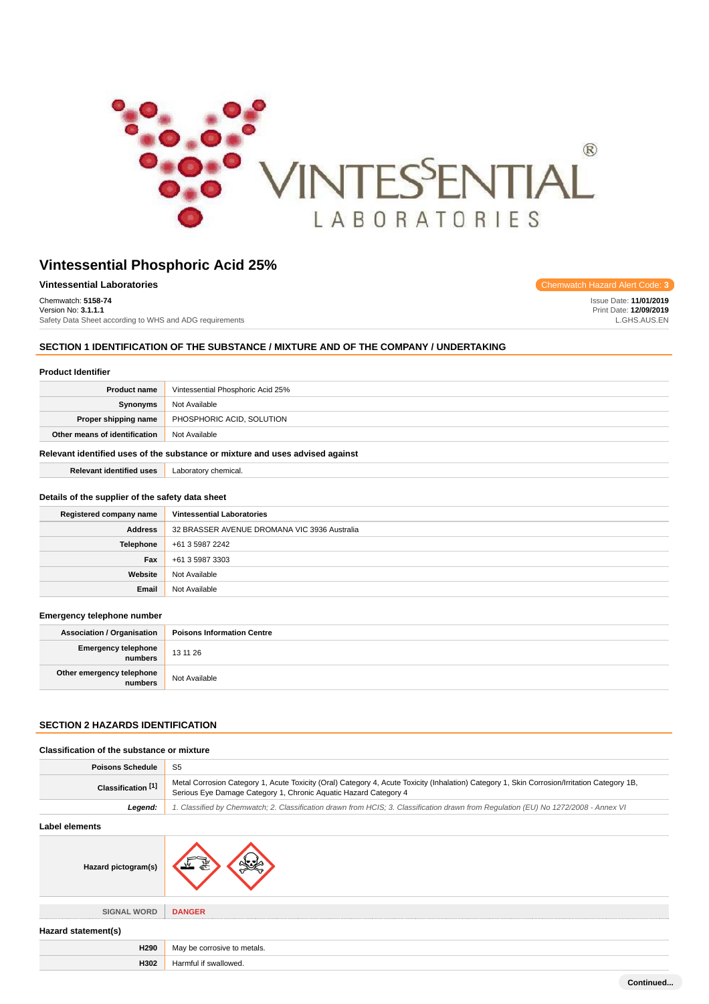

| <b>Vintessential Laboratories</b>                       | Chemwatch Hazard Alert Code: 3 |
|---------------------------------------------------------|--------------------------------|
| Chemwatch: 5158-74                                      | Issue Date: 11/01/2019         |
| Version No: 3.1.1.1                                     | Print Date: 12/09/2019         |
| Safety Data Sheet according to WHS and ADG requirements | L.GHS.AUS.EN                   |

## **SECTION 1 IDENTIFICATION OF THE SUBSTANCE / MIXTURE AND OF THE COMPANY / UNDERTAKING**

## **Product Identifier**

| <b>Product name</b>                                                           | Vintessential Phosphoric Acid 25% |
|-------------------------------------------------------------------------------|-----------------------------------|
| Synonyms                                                                      | Not Available                     |
| Proper shipping name                                                          | PHOSPHORIC ACID, SOLUTION         |
| Other means of identification                                                 | Not Available                     |
| Relevant identified uses of the substance or mixture and uses advised against |                                   |

**Relevant identified uses** Laboratory chemical.

#### **Details of the supplier of the safety data sheet**

| Registered company name | <b>Vintessential Laboratories</b>            |
|-------------------------|----------------------------------------------|
| <b>Address</b>          | 32 BRASSER AVENUE DROMANA VIC 3936 Australia |
| Telephone               | +61 3 5987 2242                              |
| Fax                     | +61 3 5987 3303                              |
| Website                 | Not Available                                |
| Email                   | Not Available                                |

#### **Emergency telephone number**

| <b>Association / Organisation</b>    | <b>Poisons Information Centre</b> |
|--------------------------------------|-----------------------------------|
| Emergency telephone<br>numbers       | 13 11 26                          |
| Other emergency telephone<br>numbers | Not Available                     |

## **SECTION 2 HAZARDS IDENTIFICATION**

| Classification of the substance or mixture |                                                                                                                                                                                                                  |
|--------------------------------------------|------------------------------------------------------------------------------------------------------------------------------------------------------------------------------------------------------------------|
| <b>Poisons Schedule</b>                    | S <sub>5</sub>                                                                                                                                                                                                   |
| Classification [1]                         | Metal Corrosion Category 1, Acute Toxicity (Oral) Category 4, Acute Toxicity (Inhalation) Category 1, Skin Corrosion/Irritation Category 1B,<br>Serious Eye Damage Category 1, Chronic Aquatic Hazard Category 4 |
| Legend:                                    | 1. Classified by Chemwatch; 2. Classification drawn from HCIS; 3. Classification drawn from Regulation (EU) No 1272/2008 - Annex VI                                                                              |
| <b>Label elements</b>                      |                                                                                                                                                                                                                  |
| Hazard pictogram(s)                        |                                                                                                                                                                                                                  |
| <b>SIGNAL WORD</b>                         | <b>DANGER</b>                                                                                                                                                                                                    |
| Hazard statement(s)                        |                                                                                                                                                                                                                  |
| H290                                       | May be corrosive to metals.                                                                                                                                                                                      |
| H302                                       | Harmful if swallowed.                                                                                                                                                                                            |
|                                            | Continued                                                                                                                                                                                                        |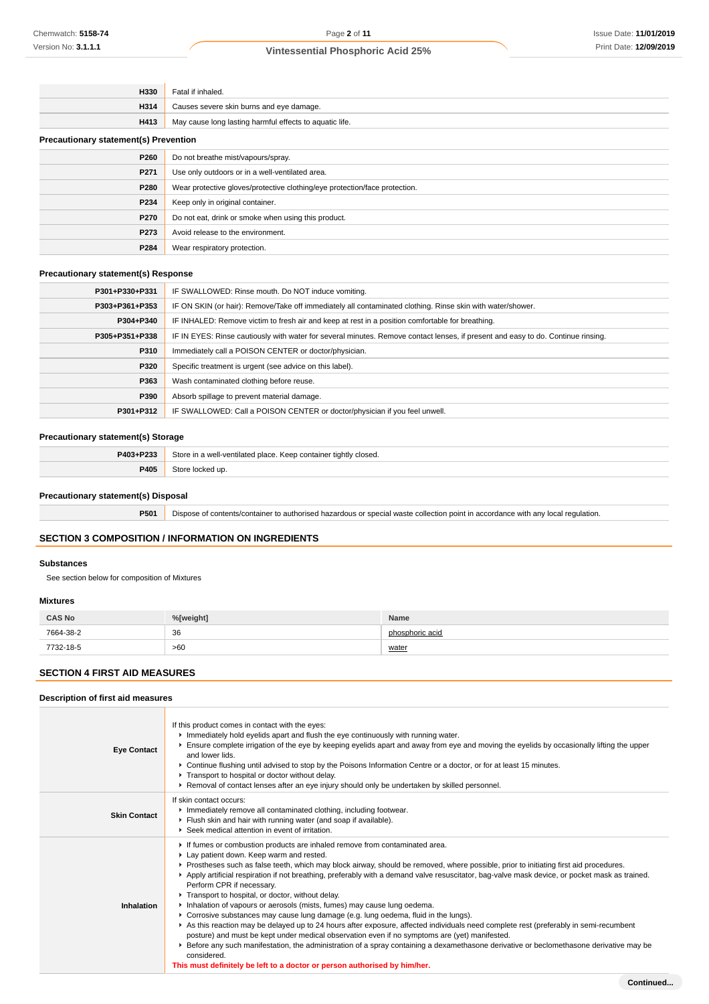| H330                                         | Fatal if inhaled.                                                          |
|----------------------------------------------|----------------------------------------------------------------------------|
| H314                                         | Causes severe skin burns and eye damage.                                   |
| H413                                         | May cause long lasting harmful effects to aquatic life.                    |
| <b>Precautionary statement(s) Prevention</b> |                                                                            |
| P260                                         | Do not breathe mist/vapours/spray.                                         |
| P271                                         | Use only outdoors or in a well-ventilated area.                            |
| P280                                         | Wear protective gloves/protective clothing/eye protection/face protection. |
| P234                                         | Keep only in original container.                                           |
| P270                                         | Do not eat, drink or smoke when using this product.                        |
| P273                                         | Avoid release to the environment.                                          |
| P284                                         | Wear respiratory protection.                                               |

## **Precautionary statement(s) Response**

| P301+P330+P331 | IF SWALLOWED: Rinse mouth. Do NOT induce vomiting.                                                                               |
|----------------|----------------------------------------------------------------------------------------------------------------------------------|
| P303+P361+P353 | IF ON SKIN (or hair): Remove/Take off immediately all contaminated clothing. Rinse skin with water/shower.                       |
| P304+P340      | IF INHALED: Remove victim to fresh air and keep at rest in a position comfortable for breathing.                                 |
| P305+P351+P338 | IF IN EYES: Rinse cautiously with water for several minutes. Remove contact lenses, if present and easy to do. Continue rinsing. |
| P310           | Immediately call a POISON CENTER or doctor/physician.                                                                            |
| <b>P320</b>    | Specific treatment is urgent (see advice on this label).                                                                         |
| P363           | Wash contaminated clothing before reuse.                                                                                         |
| P390           | Absorb spillage to prevent material damage.                                                                                      |
| P301+P312      | IF SWALLOWED: Call a POISON CENTER or doctor/physician if you feel unwell.                                                       |

## **Precautionary statement(s) Storage**

| P403+P233 | Store in a well-ventilated place. Keep container tightly closed. |
|-----------|------------------------------------------------------------------|
| P405      | Store<br>: locked up.                                            |

## **Precautionary statement(s) Disposal**

**P501** Dispose of contents/container to authorised hazardous or special waste collection point in accordance with any local regulation.

## **SECTION 3 COMPOSITION / INFORMATION ON INGREDIENTS**

## **Substances**

See section below for composition of Mixtures

#### **Mixtures**

| <b>CAS No</b> | %[weight]    | Name            |
|---------------|--------------|-----------------|
| 7664-38-2     | 36<br>$\sim$ | phosphoric acid |
| 7732-18-5     | >60          | water           |

## **SECTION 4 FIRST AID MEASURES**

## **Description of first aid measures**

| <b>Eye Contact</b>  | If this product comes in contact with the eyes:<br>Immediately hold eyelids apart and flush the eye continuously with running water.<br>Ensure complete irrigation of the eye by keeping eyelids apart and away from eye and moving the eyelids by occasionally lifting the upper<br>and lower lids.<br>▶ Continue flushing until advised to stop by the Poisons Information Centre or a doctor, or for at least 15 minutes.<br>Transport to hospital or doctor without delay.<br>▶ Removal of contact lenses after an eye injury should only be undertaken by skilled personnel.                                                                                                                                                                                                                                                                                                                                                                                                                                                                                                                                                                     |
|---------------------|-------------------------------------------------------------------------------------------------------------------------------------------------------------------------------------------------------------------------------------------------------------------------------------------------------------------------------------------------------------------------------------------------------------------------------------------------------------------------------------------------------------------------------------------------------------------------------------------------------------------------------------------------------------------------------------------------------------------------------------------------------------------------------------------------------------------------------------------------------------------------------------------------------------------------------------------------------------------------------------------------------------------------------------------------------------------------------------------------------------------------------------------------------|
| <b>Skin Contact</b> | If skin contact occurs:<br>Inmediately remove all contaminated clothing, including footwear.<br>Flush skin and hair with running water (and soap if available).<br>▶ Seek medical attention in event of irritation.                                                                                                                                                                                                                                                                                                                                                                                                                                                                                                                                                                                                                                                                                                                                                                                                                                                                                                                                   |
| Inhalation          | If fumes or combustion products are inhaled remove from contaminated area.<br>Lay patient down. Keep warm and rested.<br>▶ Prostheses such as false teeth, which may block airway, should be removed, where possible, prior to initiating first aid procedures.<br>▶ Apply artificial respiration if not breathing, preferably with a demand valve resuscitator, bag-valve mask device, or pocket mask as trained.<br>Perform CPR if necessary.<br>Transport to hospital, or doctor, without delay.<br>Inhalation of vapours or aerosols (mists, fumes) may cause lung oedema.<br>► Corrosive substances may cause lung damage (e.g. lung oedema, fluid in the lungs).<br>As this reaction may be delayed up to 24 hours after exposure, affected individuals need complete rest (preferably in semi-recumbent<br>posture) and must be kept under medical observation even if no symptoms are (yet) manifested.<br>Effore any such manifestation, the administration of a spray containing a dexamethasone derivative or beclomethasone derivative may be<br>considered.<br>This must definitely be left to a doctor or person authorised by him/her. |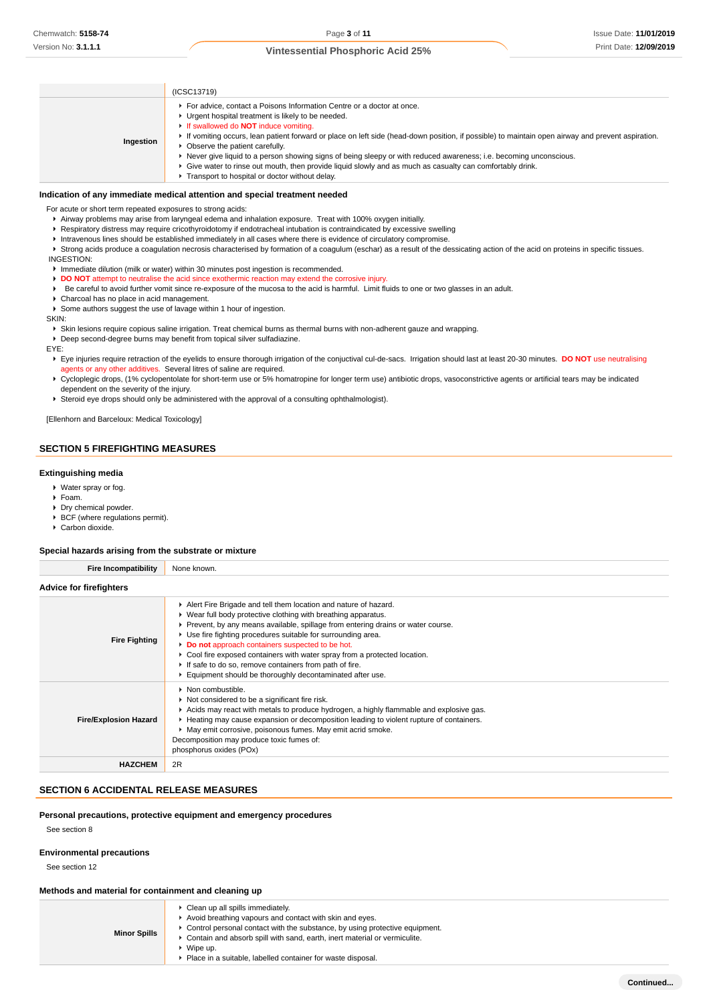|           | (ICSC13719)                                                                                                                                                                                                                                                                                                                                                                                                                                                                                                                                                                                                                                                |
|-----------|------------------------------------------------------------------------------------------------------------------------------------------------------------------------------------------------------------------------------------------------------------------------------------------------------------------------------------------------------------------------------------------------------------------------------------------------------------------------------------------------------------------------------------------------------------------------------------------------------------------------------------------------------------|
| Ingestion | For advice, contact a Poisons Information Centre or a doctor at once.<br>• Urgent hospital treatment is likely to be needed.<br><b>If swallowed do NOT induce vomiting.</b><br>If vomiting occurs, lean patient forward or place on left side (head-down position, if possible) to maintain open airway and prevent aspiration.<br>• Observe the patient carefully.<br>► Never give liquid to a person showing signs of being sleepy or with reduced awareness; i.e. becoming unconscious.<br>► Give water to rinse out mouth, then provide liquid slowly and as much as casualty can comfortably drink.<br>Transport to hospital or doctor without delay. |

#### **Indication of any immediate medical attention and special treatment needed**

For acute or short term repeated exposures to strong acids:

- Airway problems may arise from laryngeal edema and inhalation exposure. Treat with 100% oxygen initially.
- Respiratory distress may require cricothyroidotomy if endotracheal intubation is contraindicated by excessive swelling
- Intravenous lines should be established immediately in all cases where there is evidence of circulatory compromise.

Strong acids produce a coagulation necrosis characterised by formation of a coagulum (eschar) as a result of the dessicating action of the acid on proteins in specific tissues. INGESTION:

- Immediate dilution (milk or water) within 30 minutes post ingestion is recommended.
- **DO NOT** attempt to neutralise the acid since exothermic reaction may extend the corrosive injury.
- Be careful to avoid further vomit since re-exposure of the mucosa to the acid is harmful. Limit fluids to one or two glasses in an adult.
- Charcoal has no place in acid management.
- Some authors suggest the use of lavage within 1 hour of ingestion.

SKIN:

Skin lesions require copious saline irrigation. Treat chemical burns as thermal burns with non-adherent gauze and wrapping.

Deep second-degree burns may benefit from topical silver sulfadiazine.

EYE:

- Eye injuries require retraction of the eyelids to ensure thorough irrigation of the conjuctival cul-de-sacs. Irrigation should last at least 20-30 minutes. DO NOT use neutralising agents or any other additives. Several litres of saline are required.
- ▶ Cycloplegic drops, (1% cyclopentolate for short-term use or 5% homatropine for longer term use) antibiotic drops, vasoconstrictive agents or artificial tears may be indicated dependent on the severity of the injury.
- Steroid eye drops should only be administered with the approval of a consulting ophthalmologist).

[Ellenhorn and Barceloux: Medical Toxicology]

## **SECTION 5 FIREFIGHTING MEASURES**

#### **Extinguishing media**

- Water spray or fog.
- Foam.
- **Dry chemical powder.**
- $\blacktriangleright$  BCF (where regulations permit).
- ▶ Carbon dioxide.

#### **Special hazards arising from the substrate or mixture**

| <b>Fire Incompatibility</b>    | None known.                                                                                                                                                                                                                                                                                                                                                                                                                                                                                                                                    |
|--------------------------------|------------------------------------------------------------------------------------------------------------------------------------------------------------------------------------------------------------------------------------------------------------------------------------------------------------------------------------------------------------------------------------------------------------------------------------------------------------------------------------------------------------------------------------------------|
| <b>Advice for firefighters</b> |                                                                                                                                                                                                                                                                                                                                                                                                                                                                                                                                                |
| <b>Fire Fighting</b>           | Alert Fire Brigade and tell them location and nature of hazard.<br>▶ Wear full body protective clothing with breathing apparatus.<br>▶ Prevent, by any means available, spillage from entering drains or water course.<br>▶ Use fire fighting procedures suitable for surrounding area.<br>Do not approach containers suspected to be hot.<br>► Cool fire exposed containers with water spray from a protected location.<br>If safe to do so, remove containers from path of fire.<br>Equipment should be thoroughly decontaminated after use. |
| <b>Fire/Explosion Hazard</b>   | • Non combustible.<br>Not considered to be a significant fire risk.<br>Acids may react with metals to produce hydrogen, a highly flammable and explosive gas.<br>► Heating may cause expansion or decomposition leading to violent rupture of containers.<br>May emit corrosive, poisonous fumes. May emit acrid smoke.<br>Decomposition may produce toxic fumes of:<br>phosphorus oxides (POx)                                                                                                                                                |
| <b>HAZCHEM</b>                 | 2R                                                                                                                                                                                                                                                                                                                                                                                                                                                                                                                                             |

## **SECTION 6 ACCIDENTAL RELEASE MEASURES**

#### **Personal precautions, protective equipment and emergency procedures**

See section 8

### **Environmental precautions**

See section 12

## **Methods and material for containment and cleaning up**

| ► Control personal contact with the substance, by using protective equipment.<br><b>Minor Spills</b><br>• Contain and absorb spill with sand, earth, inert material or vermiculite.<br>$\triangleright$ Wipe up.<br>• Place in a suitable, labelled container for waste disposal. |  | Clean up all spills immediately.<br>Avoid breathing vapours and contact with skin and eyes. |
|-----------------------------------------------------------------------------------------------------------------------------------------------------------------------------------------------------------------------------------------------------------------------------------|--|---------------------------------------------------------------------------------------------|
|-----------------------------------------------------------------------------------------------------------------------------------------------------------------------------------------------------------------------------------------------------------------------------------|--|---------------------------------------------------------------------------------------------|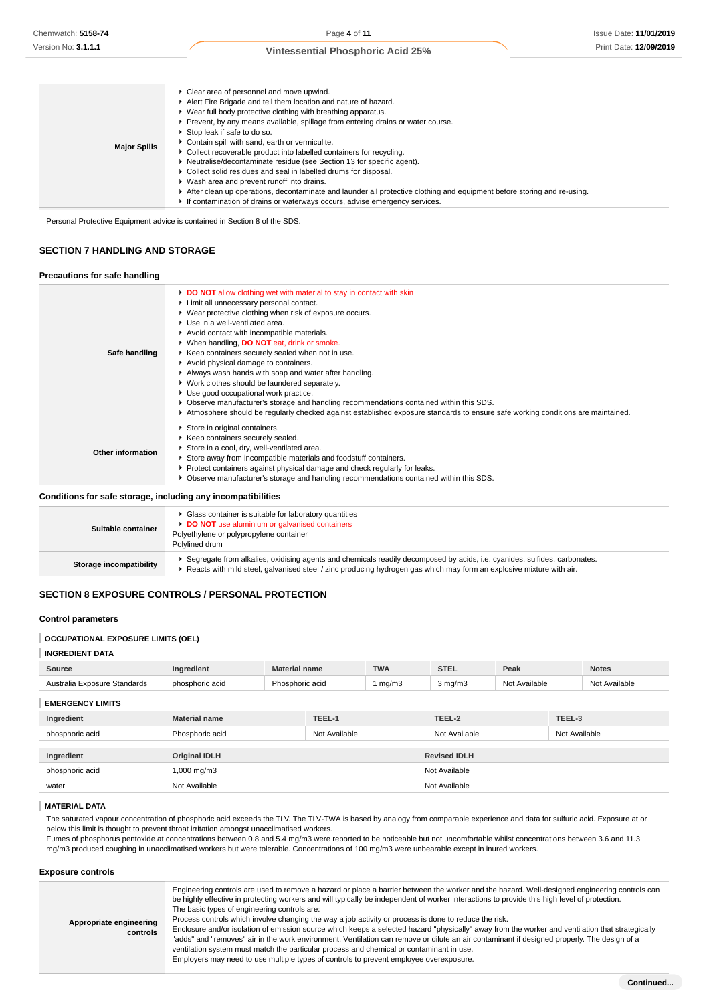| <b>Major Spills</b> | • Clear area of personnel and move upwind.<br>Alert Fire Brigade and tell them location and nature of hazard.<br>► Wear full body protective clothing with breathing apparatus.<br>Prevent, by any means available, spillage from entering drains or water course.<br>Stop leak if safe to do so.<br>Contain spill with sand, earth or vermiculite.<br>• Collect recoverable product into labelled containers for recycling.<br>▶ Neutralise/decontaminate residue (see Section 13 for specific agent).<br>▶ Collect solid residues and seal in labelled drums for disposal.<br>▶ Wash area and prevent runoff into drains.<br>After clean up operations, decontaminate and launder all protective clothing and equipment before storing and re-using.<br>If contamination of drains or waterways occurs, advise emergency services. |
|---------------------|--------------------------------------------------------------------------------------------------------------------------------------------------------------------------------------------------------------------------------------------------------------------------------------------------------------------------------------------------------------------------------------------------------------------------------------------------------------------------------------------------------------------------------------------------------------------------------------------------------------------------------------------------------------------------------------------------------------------------------------------------------------------------------------------------------------------------------------|
|---------------------|--------------------------------------------------------------------------------------------------------------------------------------------------------------------------------------------------------------------------------------------------------------------------------------------------------------------------------------------------------------------------------------------------------------------------------------------------------------------------------------------------------------------------------------------------------------------------------------------------------------------------------------------------------------------------------------------------------------------------------------------------------------------------------------------------------------------------------------|

Personal Protective Equipment advice is contained in Section 8 of the SDS.

### **SECTION 7 HANDLING AND STORAGE**

**Precautions for safe handling**

| Precautions for safe nandling<br>Safe handling               | DO NOT allow clothing wet with material to stay in contact with skin<br>Limit all unnecessary personal contact.<br>▶ Wear protective clothing when risk of exposure occurs.<br>Use in a well-ventilated area.<br>Avoid contact with incompatible materials.<br>▶ When handling, DO NOT eat, drink or smoke.<br>▶ Keep containers securely sealed when not in use.<br>Avoid physical damage to containers.<br>Always wash hands with soap and water after handling.<br>▶ Work clothes should be laundered separately.<br>Use good occupational work practice.<br>▶ Observe manufacturer's storage and handling recommendations contained within this SDS. |
|--------------------------------------------------------------|----------------------------------------------------------------------------------------------------------------------------------------------------------------------------------------------------------------------------------------------------------------------------------------------------------------------------------------------------------------------------------------------------------------------------------------------------------------------------------------------------------------------------------------------------------------------------------------------------------------------------------------------------------|
| <b>Other information</b>                                     | Atmosphere should be regularly checked against established exposure standards to ensure safe working conditions are maintained.<br>Store in original containers.<br>Keep containers securely sealed.<br>Store in a cool, dry, well-ventilated area.<br>Store away from incompatible materials and foodstuff containers.<br>▶ Protect containers against physical damage and check regularly for leaks.<br>▶ Observe manufacturer's storage and handling recommendations contained within this SDS.                                                                                                                                                       |
| Conditions for safe storage, including any incompatibilities |                                                                                                                                                                                                                                                                                                                                                                                                                                                                                                                                                                                                                                                          |

| Suitable container      | Glass container is suitable for laboratory quantities<br>DO NOT use aluminium or galvanised containers<br>Polyethylene or polypropylene container<br>Polylined drum                                                                               |
|-------------------------|---------------------------------------------------------------------------------------------------------------------------------------------------------------------------------------------------------------------------------------------------|
| Storage incompatibility | Segregate from alkalies, oxidising agents and chemicals readily decomposed by acids, i.e. cyanides, sulfides, carbonates.<br>Reacts with mild steel, galvanised steel / zinc producing hydrogen gas which may form an explosive mixture with air. |

# **SECTION 8 EXPOSURE CONTROLS / PERSONAL PROTECTION**

## **Control parameters**

## **OCCUPATIONAL EXPOSURE LIMITS (OEL)**

## **INGREDIENT DATA**

| Available<br>Not Available<br>mq/m3<br>Australia Exposure Standards<br>3 mg/m3<br>N <sub>0</sub><br>horic acid<br>phosph<br>Phosphoric acid | <b>Source</b> | Ingredient | Material name | <b>TWA</b> | <b>STEL</b> | Peak | <b>Notes</b> |
|---------------------------------------------------------------------------------------------------------------------------------------------|---------------|------------|---------------|------------|-------------|------|--------------|
|                                                                                                                                             |               |            |               |            |             |      |              |

# **EMERGENCY LIMITS Ingredient Material name TEEL-1 TEEL-2 TEEL-3** phosphoric acid **Phosphoric acid** Phosphoric acid Not Available Not Available Not Available Not Available Not Available **Ingredient Original IDLH Revised IDLH** phosphoric acid 1,000 mg/m3 1,000 mg/m3 water **Not Available** Not Available **Not Available** Not Available **Not Available** Not Available

#### **MATERIAL DATA**

The saturated vapour concentration of phosphoric acid exceeds the TLV. The TLV-TWA is based by analogy from comparable experience and data for sulfuric acid. Exposure at or below this limit is thought to prevent throat irritation amongst unacclimatised workers.

Fumes of phosphorus pentoxide at concentrations between 0.8 and 5.4 mg/m3 were reported to be noticeable but not uncomfortable whilst concentrations between 3.6 and 11.3 mg/m3 produced coughing in unacclimatised workers but were tolerable. Concentrations of 100 mg/m3 were unbearable except in inured workers.

#### **Exposure controls**

| Appropriate engineering<br>controls | Engineering controls are used to remove a hazard or place a barrier between the worker and the hazard. Well-designed engineering controls can<br>be highly effective in protecting workers and will typically be independent of worker interactions to provide this high level of protection.<br>The basic types of engineering controls are:<br>Process controls which involve changing the way a job activity or process is done to reduce the risk.<br>Enclosure and/or isolation of emission source which keeps a selected hazard "physically" away from the worker and ventilation that strategically<br>"adds" and "removes" air in the work environment. Ventilation can remove or dilute an air contaminant if designed properly. The design of a<br>ventilation system must match the particular process and chemical or contaminant in use.<br>Employers may need to use multiple types of controls to prevent employee overexposure. |
|-------------------------------------|-------------------------------------------------------------------------------------------------------------------------------------------------------------------------------------------------------------------------------------------------------------------------------------------------------------------------------------------------------------------------------------------------------------------------------------------------------------------------------------------------------------------------------------------------------------------------------------------------------------------------------------------------------------------------------------------------------------------------------------------------------------------------------------------------------------------------------------------------------------------------------------------------------------------------------------------------|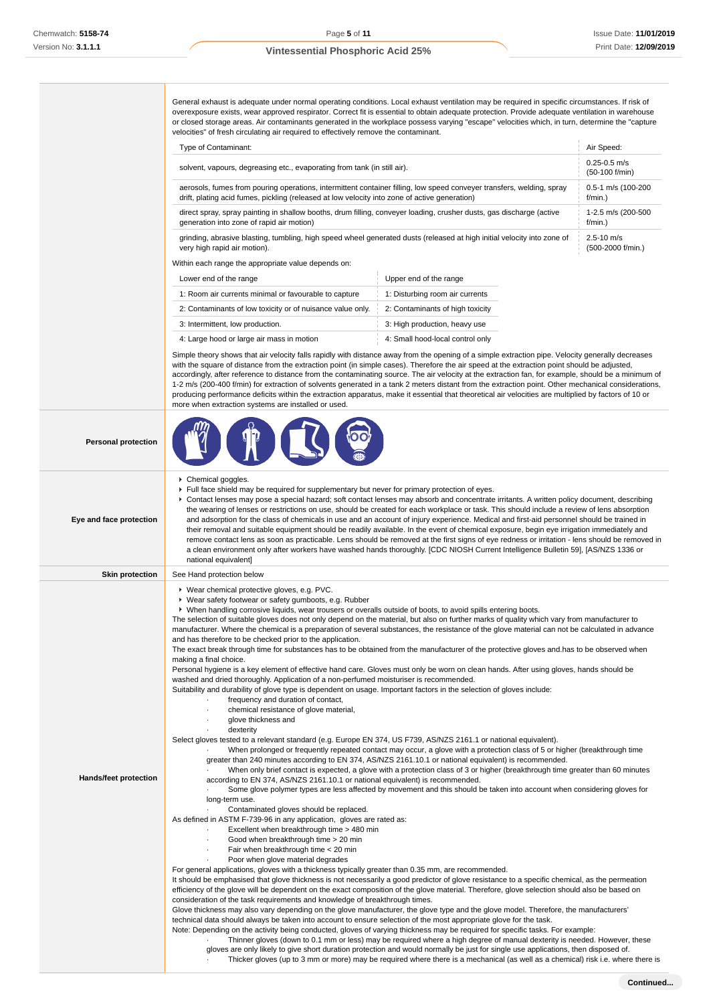General exhaust is adequate under normal operating conditions. Local exhaust ventilation may be required in specific circumstances. If risk of overexposure exists, wear approved respirator. Correct fit is essential to obtain adequate protection. Provide adequate ventilation in warehouse or closed storage areas. Air contaminants generated in the workplace possess varying "escape" velocities which, in turn, determine the "capture velocities" of fresh circulating air required to effectively remove the contaminant.

| Type of Contaminant:                                                                                                    | Air Speed:                            |
|-------------------------------------------------------------------------------------------------------------------------|---------------------------------------|
| solvent, vapours, degreasing etc., evaporating from tank (in still air).                                                | $0.25 - 0.5$ m/s<br>$(50-100)$ f/min) |
| aerosols, fumes from pouring operations, intermittent container filling, low speed conveyer transfers, welding, spray   | 0.5-1 m/s (100-200                    |
| drift, plating acid fumes, pickling (released at low velocity into zone of active generation)                           | $f/min.$ )                            |
| direct spray, spray painting in shallow booths, drum filling, conveyer loading, crusher dusts, gas discharge (active    | 1-2.5 m/s (200-500                    |
| generation into zone of rapid air motion)                                                                               | $f/min.$ )                            |
| grinding, abrasive blasting, tumbling, high speed wheel generated dusts (released at high initial velocity into zone of | $2.5 - 10$ m/s                        |
| very high rapid air motion).                                                                                            | (500-2000 f/min.)                     |
| Within each range the appropriate value depends on:                                                                     |                                       |

| Lower end of the range                                     | Upper end of the range           |
|------------------------------------------------------------|----------------------------------|
| 1: Room air currents minimal or favourable to capture      | 1: Disturbing room air currents  |
| 2: Contaminants of low toxicity or of nuisance value only. | 2: Contaminants of high toxicity |
| 3: Intermittent, low production.                           | 3: High production, heavy use    |
| 4: Large hood or large air mass in motion                  | 4: Small hood-local control only |

Simple theory shows that air velocity falls rapidly with distance away from the opening of a simple extraction pipe. Velocity generally decreases with the square of distance from the extraction point (in simple cases). Therefore the air speed at the extraction point should be adjusted, accordingly, after reference to distance from the contaminating source. The air velocity at the extraction fan, for example, should be a minimum of 1-2 m/s (200-400 f/min) for extraction of solvents generated in a tank 2 meters distant from the extraction point. Other mechanical considerations, producing performance deficits within the extraction apparatus, make it essential that theoretical air velocities are multiplied by factors of 10 or more when extraction systems are installed or used.

| <b>Personal protection</b>                                                                                                                                                                                                                                                                                                                                                                                                                                                                                                                                                                                                                                                                                                                                                                                                                                                                                                                                                                                                                            |                                                                                                                                                                                                                                                                                                                                                                                                                                                                                                                                                                                                                                                                                                                                                                                                                                                                                                                                                                                                                                                                                                                                                                                                                                                                                                                                                                                                                                                                                                                                                                                                                                                                                                                                                                                                                                                                                                                                                                                                                                                                                                                                                                                                                                                                                                                                                                                                                                                                                                                                                                                                                                                                                                                                                                                                                                                                                                                                                                                                                                                                                                                                                                                                                                                                                                                                                                                                                            |  |  |  |  |
|-------------------------------------------------------------------------------------------------------------------------------------------------------------------------------------------------------------------------------------------------------------------------------------------------------------------------------------------------------------------------------------------------------------------------------------------------------------------------------------------------------------------------------------------------------------------------------------------------------------------------------------------------------------------------------------------------------------------------------------------------------------------------------------------------------------------------------------------------------------------------------------------------------------------------------------------------------------------------------------------------------------------------------------------------------|----------------------------------------------------------------------------------------------------------------------------------------------------------------------------------------------------------------------------------------------------------------------------------------------------------------------------------------------------------------------------------------------------------------------------------------------------------------------------------------------------------------------------------------------------------------------------------------------------------------------------------------------------------------------------------------------------------------------------------------------------------------------------------------------------------------------------------------------------------------------------------------------------------------------------------------------------------------------------------------------------------------------------------------------------------------------------------------------------------------------------------------------------------------------------------------------------------------------------------------------------------------------------------------------------------------------------------------------------------------------------------------------------------------------------------------------------------------------------------------------------------------------------------------------------------------------------------------------------------------------------------------------------------------------------------------------------------------------------------------------------------------------------------------------------------------------------------------------------------------------------------------------------------------------------------------------------------------------------------------------------------------------------------------------------------------------------------------------------------------------------------------------------------------------------------------------------------------------------------------------------------------------------------------------------------------------------------------------------------------------------------------------------------------------------------------------------------------------------------------------------------------------------------------------------------------------------------------------------------------------------------------------------------------------------------------------------------------------------------------------------------------------------------------------------------------------------------------------------------------------------------------------------------------------------------------------------------------------------------------------------------------------------------------------------------------------------------------------------------------------------------------------------------------------------------------------------------------------------------------------------------------------------------------------------------------------------------------------------------------------------------------------------------------------------|--|--|--|--|
| Chemical goggles.<br>Full face shield may be required for supplementary but never for primary protection of eyes.<br>► Contact lenses may pose a special hazard; soft contact lenses may absorb and concentrate irritants. A written policy document, describing<br>the wearing of lenses or restrictions on use, should be created for each workplace or task. This should include a review of lens absorption<br>Eye and face protection<br>and adsorption for the class of chemicals in use and an account of injury experience. Medical and first-aid personnel should be trained in<br>their removal and suitable equipment should be readily available. In the event of chemical exposure, begin eye irrigation immediately and<br>remove contact lens as soon as practicable. Lens should be removed at the first signs of eye redness or irritation - lens should be removed in<br>a clean environment only after workers have washed hands thoroughly. [CDC NIOSH Current Intelligence Bulletin 59], [AS/NZS 1336 or<br>national equivalent] |                                                                                                                                                                                                                                                                                                                                                                                                                                                                                                                                                                                                                                                                                                                                                                                                                                                                                                                                                                                                                                                                                                                                                                                                                                                                                                                                                                                                                                                                                                                                                                                                                                                                                                                                                                                                                                                                                                                                                                                                                                                                                                                                                                                                                                                                                                                                                                                                                                                                                                                                                                                                                                                                                                                                                                                                                                                                                                                                                                                                                                                                                                                                                                                                                                                                                                                                                                                                                            |  |  |  |  |
| <b>Skin protection</b>                                                                                                                                                                                                                                                                                                                                                                                                                                                                                                                                                                                                                                                                                                                                                                                                                                                                                                                                                                                                                                | See Hand protection below                                                                                                                                                                                                                                                                                                                                                                                                                                                                                                                                                                                                                                                                                                                                                                                                                                                                                                                                                                                                                                                                                                                                                                                                                                                                                                                                                                                                                                                                                                                                                                                                                                                                                                                                                                                                                                                                                                                                                                                                                                                                                                                                                                                                                                                                                                                                                                                                                                                                                                                                                                                                                                                                                                                                                                                                                                                                                                                                                                                                                                                                                                                                                                                                                                                                                                                                                                                                  |  |  |  |  |
| Hands/feet protection                                                                                                                                                                                                                                                                                                                                                                                                                                                                                                                                                                                                                                                                                                                                                                                                                                                                                                                                                                                                                                 | ▶ Wear chemical protective gloves, e.g. PVC.<br>▶ Wear safety footwear or safety gumboots, e.g. Rubber<br>► When handling corrosive liquids, wear trousers or overalls outside of boots, to avoid spills entering boots.<br>The selection of suitable gloves does not only depend on the material, but also on further marks of quality which vary from manufacturer to<br>manufacturer. Where the chemical is a preparation of several substances, the resistance of the glove material can not be calculated in advance<br>and has therefore to be checked prior to the application.<br>The exact break through time for substances has to be obtained from the manufacturer of the protective gloves and has to be observed when<br>making a final choice.<br>Personal hygiene is a key element of effective hand care. Gloves must only be worn on clean hands. After using gloves, hands should be<br>washed and dried thoroughly. Application of a non-perfumed moisturiser is recommended.<br>Suitability and durability of glove type is dependent on usage. Important factors in the selection of gloves include:<br>frequency and duration of contact,<br>chemical resistance of glove material,<br>glove thickness and<br>dexterity<br>Select gloves tested to a relevant standard (e.g. Europe EN 374, US F739, AS/NZS 2161.1 or national equivalent).<br>When prolonged or frequently repeated contact may occur, a glove with a protection class of 5 or higher (breakthrough time<br>greater than 240 minutes according to EN 374, AS/NZS 2161.10.1 or national equivalent) is recommended.<br>When only brief contact is expected, a glove with a protection class of 3 or higher (breakthrough time greater than 60 minutes<br>according to EN 374, AS/NZS 2161.10.1 or national equivalent) is recommended.<br>Some glove polymer types are less affected by movement and this should be taken into account when considering gloves for<br>long-term use.<br>Contaminated gloves should be replaced.<br>As defined in ASTM F-739-96 in any application, gloves are rated as:<br>Excellent when breakthrough time > 480 min<br>Good when breakthrough time > 20 min<br>Fair when breakthrough time < 20 min<br>Poor when glove material degrades<br>For general applications, gloves with a thickness typically greater than 0.35 mm, are recommended.<br>It should be emphasised that glove thickness is not necessarily a good predictor of glove resistance to a specific chemical, as the permeation<br>efficiency of the glove will be dependent on the exact composition of the glove material. Therefore, glove selection should also be based on<br>consideration of the task requirements and knowledge of breakthrough times.<br>Glove thickness may also vary depending on the glove manufacturer, the glove type and the glove model. Therefore, the manufacturers'<br>technical data should always be taken into account to ensure selection of the most appropriate glove for the task.<br>Note: Depending on the activity being conducted, gloves of varying thickness may be required for specific tasks. For example:<br>Thinner gloves (down to 0.1 mm or less) may be required where a high degree of manual dexterity is needed. However, these<br>gloves are only likely to give short duration protection and would normally be just for single use applications, then disposed of. |  |  |  |  |

**Continued...**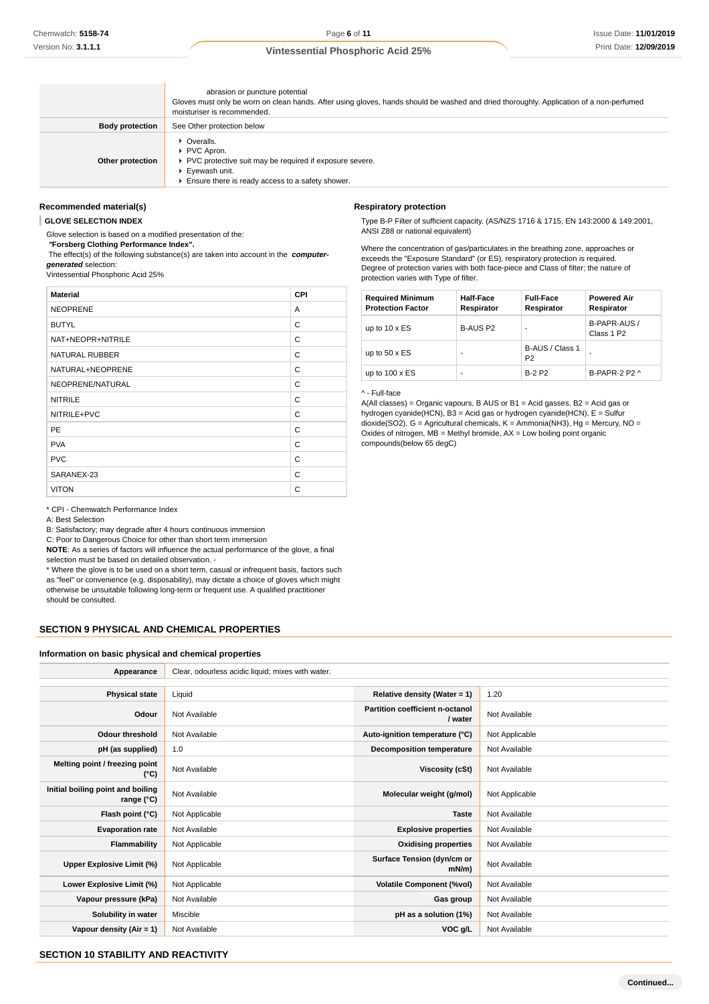|                        | abrasion or puncture potential<br>Gloves must only be worn on clean hands. After using gloves, hands should be washed and dried thoroughly. Application of a non-perfumed<br>moisturiser is recommended. |
|------------------------|----------------------------------------------------------------------------------------------------------------------------------------------------------------------------------------------------------|
| <b>Body protection</b> | See Other protection below                                                                                                                                                                               |
| Other protection       | • Overalls.<br>▶ PVC Apron.<br>▶ PVC protective suit may be required if exposure severe.<br>Eyewash unit.<br>Ensure there is ready access to a safety shower.                                            |

#### **Recommended material(s)**

**GLOVE SELECTION INDEX**

Glove selection is based on a modified presentation of the:  **"Forsberg Clothing Performance Index".**

 The effect(s) of the following substance(s) are taken into account in the **computergenerated** selection:

Vintessential Phosphoric Acid 25%

| <b>Material</b>   | CPI |
|-------------------|-----|
| <b>NEOPRENE</b>   | A   |
| <b>BUTYL</b>      | C   |
| NAT+NEOPR+NITRILE | C   |
| NATURAL RUBBER    | C   |
| NATURAL+NEOPRENE  | C   |
| NEOPRENE/NATURAL  | C   |
| <b>NITRILE</b>    | C   |
| NITRILE+PVC       | C   |
| <b>PE</b>         | C   |
| <b>PVA</b>        | C   |
| <b>PVC</b>        | C   |
| SARANEX-23        | C   |
| <b>VITON</b>      | C   |

## **Respiratory protection**

Type B-P Filter of sufficient capacity. (AS/NZS 1716 & 1715, EN 143:2000 & 149:2001, ANSI Z88 or national equivalent)

Where the concentration of gas/particulates in the breathing zone, approaches or exceeds the "Exposure Standard" (or ES), respiratory protection is required. Degree of protection varies with both face-piece and Class of filter; the nature of protection varies with Type of filter.

| <b>Required Minimum</b><br><b>Protection Factor</b> | <b>Half-Face</b><br>Respirator | <b>Full-Face</b><br>Respirator    | <b>Powered Air</b><br>Respirator       |
|-----------------------------------------------------|--------------------------------|-----------------------------------|----------------------------------------|
| up to $10 \times ES$                                | B-AUS P2                       | ۰                                 | B-PAPR-AUS /<br>Class 1 P <sub>2</sub> |
| up to $50 \times ES$                                | -                              | B-AUS / Class 1<br>P <sub>2</sub> | ۰                                      |
| up to $100 \times ES$                               | -                              | <b>B-2 P2</b>                     | B-PAPR-2 $P2 \wedge$                   |

### ^ - Full-face

A(All classes) = Organic vapours, B AUS or B1 = Acid gasses, B2 = Acid gas or hydrogen cyanide(HCN), B3 = Acid gas or hydrogen cyanide(HCN), E = Sulfur dioxide(SO2), G = Agricultural chemicals, K = Ammonia(NH3), Hg = Mercury, NO = Oxides of nitrogen, MB = Methyl bromide, AX = Low boiling point organic compounds(below 65 degC)

\* CPI - Chemwatch Performance Index

A: Best Selection

B: Satisfactory; may degrade after 4 hours continuous immersion

C: Poor to Dangerous Choice for other than short term immersion

**NOTE**: As a series of factors will influence the actual performance of the glove, a final selection must be based on detailed observation. -

\* Where the glove is to be used on a short term, casual or infrequent basis, factors such as "feel" or convenience (e.g. disposability), may dictate a choice of gloves which might otherwise be unsuitable following long-term or frequent use. A qualified practitioner should be consulted.

#### **SECTION 9 PHYSICAL AND CHEMICAL PROPERTIES**

#### **Information on basic physical and chemical properties**

| Appearance                                      | Clear, odourless acidic liquid; mixes with water. |                                            |                |
|-------------------------------------------------|---------------------------------------------------|--------------------------------------------|----------------|
|                                                 |                                                   |                                            |                |
| <b>Physical state</b>                           | Liquid                                            | Relative density (Water = 1)               | 1.20           |
| Odour                                           | Not Available                                     | Partition coefficient n-octanol<br>/ water | Not Available  |
| <b>Odour threshold</b>                          | Not Available                                     | Auto-ignition temperature (°C)             | Not Applicable |
| pH (as supplied)                                | 1.0                                               | <b>Decomposition temperature</b>           | Not Available  |
| Melting point / freezing point<br>$(^{\circ}C)$ | Not Available                                     | Viscosity (cSt)                            | Not Available  |
| Initial boiling point and boiling<br>range (°C) | Not Available                                     | Molecular weight (g/mol)                   | Not Applicable |
| Flash point (°C)                                | Not Applicable                                    | <b>Taste</b>                               | Not Available  |
| <b>Evaporation rate</b>                         | Not Available                                     | <b>Explosive properties</b>                | Not Available  |
| Flammability                                    | Not Applicable                                    | <b>Oxidising properties</b>                | Not Available  |
| Upper Explosive Limit (%)                       | Not Applicable                                    | Surface Tension (dyn/cm or<br>$mN/m$ )     | Not Available  |
| Lower Explosive Limit (%)                       | Not Applicable                                    | <b>Volatile Component (%vol)</b>           | Not Available  |
| Vapour pressure (kPa)                           | Not Available                                     | Gas group                                  | Not Available  |
| Solubility in water                             | Miscible                                          | pH as a solution (1%)                      | Not Available  |
| Vapour density $(Air = 1)$                      | Not Available                                     | VOC g/L                                    | Not Available  |

### **SECTION 10 STABILITY AND REACTIVITY**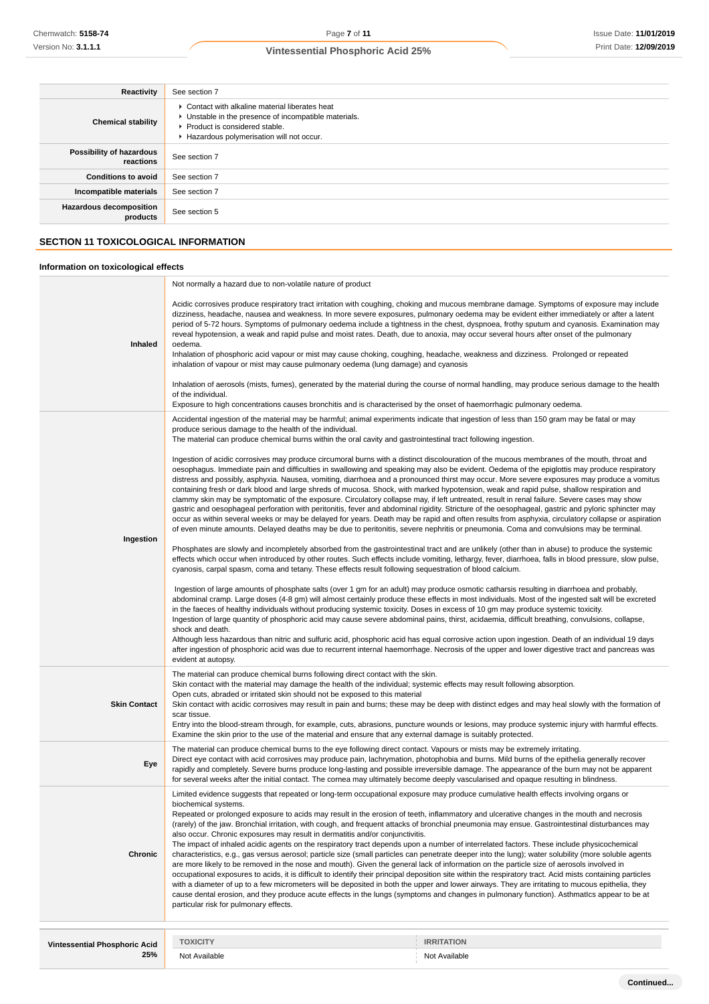| Reactivity                            | See section 7                                                                                                                                                                           |  |
|---------------------------------------|-----------------------------------------------------------------------------------------------------------------------------------------------------------------------------------------|--|
| <b>Chemical stability</b>             | • Contact with alkaline material liberates heat<br>• Unstable in the presence of incompatible materials.<br>▶ Product is considered stable.<br>Hazardous polymerisation will not occur. |  |
| Possibility of hazardous<br>reactions | See section 7                                                                                                                                                                           |  |
| <b>Conditions to avoid</b>            | See section 7                                                                                                                                                                           |  |
| Incompatible materials                | See section 7                                                                                                                                                                           |  |
| Hazardous decomposition<br>products   | See section 5                                                                                                                                                                           |  |
|                                       | <b>SECTION 11 TOXICOLOGICAL INFORMATION</b>                                                                                                                                             |  |
| Information on toxicological effects  |                                                                                                                                                                                         |  |

#### **Inhaled** Not normally a hazard due to non-volatile nature of product Acidic corrosives produce respiratory tract irritation with coughing, choking and mucous membrane damage. Symptoms of exposure may include dizziness, headache, nausea and weakness. In more severe exposures, pulmonary oedema may be evident either immediately or after a latent period of 5-72 hours. Symptoms of pulmonary oedema include a tightness in the chest, dyspnoea, frothy sputum and cyanosis. Examination may reveal hypotension, a weak and rapid pulse and moist rates. Death, due to anoxia, may occur several hours after onset of the pulmonary oedema. Inhalation of phosphoric acid vapour or mist may cause choking, coughing, headache, weakness and dizziness. Prolonged or repeated inhalation of vapour or mist may cause pulmonary oedema (lung damage) and cyanosis Inhalation of aerosols (mists, fumes), generated by the material during the course of normal handling, may produce serious damage to the health of the individual. Exposure to high concentrations causes bronchitis and is characterised by the onset of haemorrhagic pulmonary oedema. **Ingestion** Accidental ingestion of the material may be harmful; animal experiments indicate that ingestion of less than 150 gram may be fatal or may produce serious damage to the health of the individual. The material can produce chemical burns within the oral cavity and gastrointestinal tract following ingestion. Ingestion of acidic corrosives may produce circumoral burns with a distinct discolouration of the mucous membranes of the mouth, throat and oesophagus. Immediate pain and difficulties in swallowing and speaking may also be evident. Oedema of the epiglottis may produce respiratory distress and possibly, asphyxia. Nausea, vomiting, diarrhoea and a pronounced thirst may occur. More severe exposures may produce a vomitus containing fresh or dark blood and large shreds of mucosa. Shock, with marked hypotension, weak and rapid pulse, shallow respiration and clammy skin may be symptomatic of the exposure. Circulatory collapse may, if left untreated, result in renal failure. Severe cases may show gastric and oesophageal perforation with peritonitis, fever and abdominal rigidity. Stricture of the oesophageal, gastric and pyloric sphincter may occur as within several weeks or may be delayed for years. Death may be rapid and often results from asphyxia, circulatory collapse or aspiration of even minute amounts. Delayed deaths may be due to peritonitis, severe nephritis or pneumonia. Coma and convulsions may be terminal. Phosphates are slowly and incompletely absorbed from the gastrointestinal tract and are unlikely (other than in abuse) to produce the systemic effects which occur when introduced by other routes. Such effects include vomiting, lethargy, fever, diarrhoea, falls in blood pressure, slow pulse, cyanosis, carpal spasm, coma and tetany. These effects result following sequestration of blood calcium. Ingestion of large amounts of phosphate salts (over 1 gm for an adult) may produce osmotic catharsis resulting in diarrhoea and probably, abdominal cramp. Large doses (4-8 gm) will almost certainly produce these effects in most individuals. Most of the ingested salt will be excreted in the faeces of healthy individuals without producing systemic toxicity. Doses in excess of 10 gm may produce systemic toxicity. Ingestion of large quantity of phosphoric acid may cause severe abdominal pains, thirst, acidaemia, difficult breathing, convulsions, collapse, shock and death. Although less hazardous than nitric and sulfuric acid, phosphoric acid has equal corrosive action upon ingestion. Death of an individual 19 days after ingestion of phosphoric acid was due to recurrent internal haemorrhage. Necrosis of the upper and lower digestive tract and pancreas was evident at autopsy. **Skin Contact** The material can produce chemical burns following direct contact with the skin. Skin contact with the material may damage the health of the individual; systemic effects may result following absorption. Open cuts, abraded or irritated skin should not be exposed to this material Skin contact with acidic corrosives may result in pain and burns; these may be deep with distinct edges and may heal slowly with the formation of scar tissue. Entry into the blood-stream through, for example, cuts, abrasions, puncture wounds or lesions, may produce systemic injury with harmful effects. Examine the skin prior to the use of the material and ensure that any external damage is suitably protected. **Eye** The material can produce chemical burns to the eye following direct contact. Vapours or mists may be extremely irritating. Direct eye contact with acid corrosives may produce pain, lachrymation, photophobia and burns. Mild burns of the epithelia generally recover rapidly and completely. Severe burns produce long-lasting and possible irreversible damage. The appearance of the burn may not be apparent for several weeks after the initial contact. The cornea may ultimately become deeply vascularised and opaque resulting in blindness. **Chronic** Limited evidence suggests that repeated or long-term occupational exposure may produce cumulative health effects involving organs or biochemical systems. Repeated or prolonged exposure to acids may result in the erosion of teeth, inflammatory and ulcerative changes in the mouth and necrosis (rarely) of the jaw. Bronchial irritation, with cough, and frequent attacks of bronchial pneumonia may ensue. Gastrointestinal disturbances may also occur. Chronic exposures may result in dermatitis and/or conjunctivitis. The impact of inhaled acidic agents on the respiratory tract depends upon a number of interrelated factors. These include physicochemical characteristics, e.g., gas versus aerosol; particle size (small particles can penetrate deeper into the lung); water solubility (more soluble agents are more likely to be removed in the nose and mouth). Given the general lack of information on the particle size of aerosols involved in occupational exposures to acids, it is difficult to identify their principal deposition site within the respiratory tract. Acid mists containing particIes with a diameter of up to a few micrometers will be deposited in both the upper and lower airways. They are irritating to mucous epithelia, they cause dental erosion, and they produce acute effects in the lungs (symptoms and changes in pulmonary function). AsthmatIcs appear to be at particular risk for pulmonary effects. **Vintessential Phosphoric Acid 25% TOXICITY IRRITATION** Not Available Not Available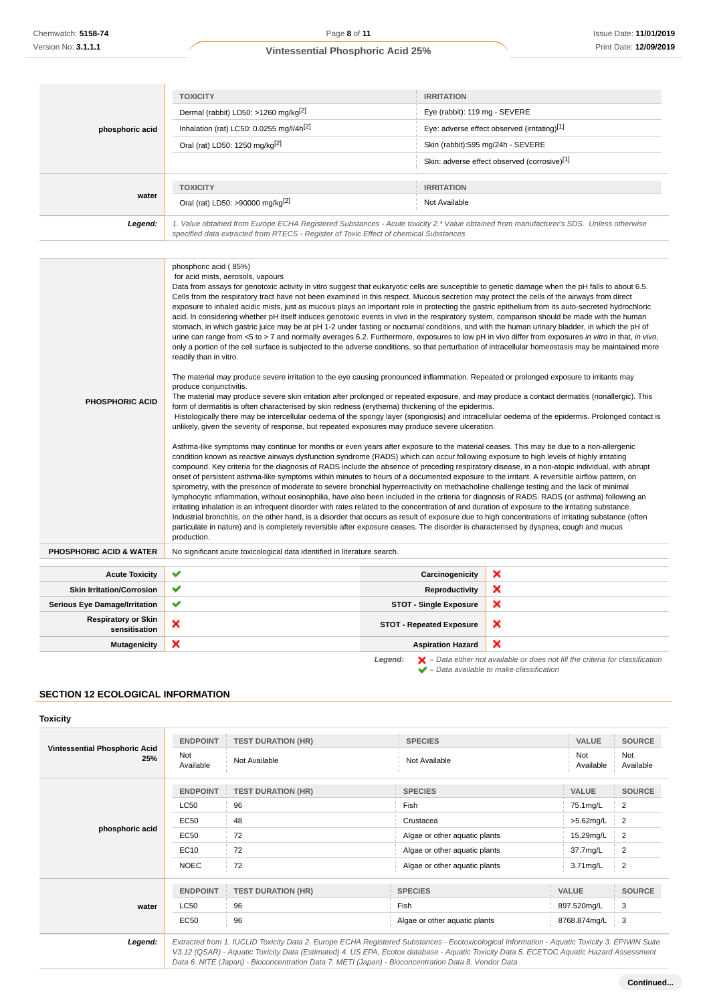| phosphoric acid | <b>TOXICITY</b>                                                                                                                                                                                                                                                                                                                                              | <b>IRRITATION</b>                            |  |
|-----------------|--------------------------------------------------------------------------------------------------------------------------------------------------------------------------------------------------------------------------------------------------------------------------------------------------------------------------------------------------------------|----------------------------------------------|--|
|                 | Dermal (rabbit) LD50: >1260 mg/kg <sup>[2]</sup>                                                                                                                                                                                                                                                                                                             | Eye (rabbit): 119 mg - SEVERE                |  |
|                 | Inhalation (rat) LC50: 0.0255 mg/l/4h <sup>[2]</sup>                                                                                                                                                                                                                                                                                                         | Eye: adverse effect observed (irritating)[1] |  |
|                 | Oral (rat) LD50: 1250 mg/kg[2]                                                                                                                                                                                                                                                                                                                               | Skin (rabbit):595 mg/24h - SEVERE            |  |
|                 |                                                                                                                                                                                                                                                                                                                                                              | Skin: adverse effect observed (corrosive)[1] |  |
| water           | <b>TOXICITY</b>                                                                                                                                                                                                                                                                                                                                              | <b>IRRITATION</b>                            |  |
|                 | Oral (rat) LD50: >90000 mg/kg <sup>[2]</sup>                                                                                                                                                                                                                                                                                                                 | Not Available                                |  |
| Legend:         | 1. Value obtained from Europe ECHA Registered Substances - Acute toxicity 2.* Value obtained from manufacturer's SDS. Unless otherwise<br>specified data extracted from RTECS - Register of Toxic Effect of chemical Substances                                                                                                                              |                                              |  |
|                 |                                                                                                                                                                                                                                                                                                                                                              |                                              |  |
|                 | phosphoric acid (85%)<br>for acid mists, aerosols, vapours<br>Data from assays for genotoxic activity in vitro suggest that eukaryotic cells are susceptible to genetic damage when the pH falls to about 6.5.<br>Colle from the conjugatory tract have not been examined in this respect. Museus secretion may protect the solle of the pinyous from direct |                                              |  |

| <b>PHOSPHORIC ACID</b>                      | Cells from the respiratory tract have not been examined in this respect. Mucous secretion may protect the cells of the airways from direct<br>exposure to inhaled acidic mists, just as mucous plays an important role in protecting the gastric epithelium from its auto-secreted hydrochloric<br>acid. In considering whether pH itself induces genotoxic events in vivo in the respiratory system, comparison should be made with the human<br>stomach, in which gastric juice may be at pH 1-2 under fasting or nocturnal conditions, and with the human urinary bladder, in which the pH of<br>urine can range from <5 to > 7 and normally averages 6.2. Furthermore, exposures to low pH in vivo differ from exposures in vitro in that, in vivo,<br>only a portion of the cell surface is subjected to the adverse conditions, so that perturbation of intracellular homeostasis may be maintained more<br>readily than in vitro.<br>The material may produce severe irritation to the eye causing pronounced inflammation. Repeated or prolonged exposure to irritants may<br>produce conjunctivitis.<br>The material may produce severe skin irritation after prolonged or repeated exposure, and may produce a contact dermatitis (nonallergic). This<br>form of dermatitis is often characterised by skin redness (erythema) thickening of the epidermis.<br>Histologically there may be intercellular oedema of the spongy layer (spongiosis) and intracellular oedema of the epidermis. Prolonged contact is<br>unlikely, given the severity of response, but repeated exposures may produce severe ulceration.<br>Asthma-like symptoms may continue for months or even years after exposure to the material ceases. This may be due to a non-allergenic<br>condition known as reactive airways dysfunction syndrome (RADS) which can occur following exposure to high levels of highly irritating<br>compound. Key criteria for the diagnosis of RADS include the absence of preceding respiratory disease, in a non-atopic individual, with abrupt<br>onset of persistent asthma-like symptoms within minutes to hours of a documented exposure to the irritant. A reversible airflow pattern, on<br>spirometry, with the presence of moderate to severe bronchial hyperreactivity on methacholine challenge testing and the lack of minimal<br>lymphocytic inflammation, without eosinophilia, have also been included in the criteria for diagnosis of RADS. RADS (or asthma) following an<br>irritating inhalation is an infrequent disorder with rates related to the concentration of and duration of exposure to the irritating substance.<br>Industrial bronchitis, on the other hand, is a disorder that occurs as result of exposure due to high concentrations of irritating substance (often<br>particulate in nature) and is completely reversible after exposure ceases. The disorder is characterised by dyspnea, cough and mucus<br>production. |                                 |                           |
|---------------------------------------------|-------------------------------------------------------------------------------------------------------------------------------------------------------------------------------------------------------------------------------------------------------------------------------------------------------------------------------------------------------------------------------------------------------------------------------------------------------------------------------------------------------------------------------------------------------------------------------------------------------------------------------------------------------------------------------------------------------------------------------------------------------------------------------------------------------------------------------------------------------------------------------------------------------------------------------------------------------------------------------------------------------------------------------------------------------------------------------------------------------------------------------------------------------------------------------------------------------------------------------------------------------------------------------------------------------------------------------------------------------------------------------------------------------------------------------------------------------------------------------------------------------------------------------------------------------------------------------------------------------------------------------------------------------------------------------------------------------------------------------------------------------------------------------------------------------------------------------------------------------------------------------------------------------------------------------------------------------------------------------------------------------------------------------------------------------------------------------------------------------------------------------------------------------------------------------------------------------------------------------------------------------------------------------------------------------------------------------------------------------------------------------------------------------------------------------------------------------------------------------------------------------------------------------------------------------------------------------------------------------------------------------------------------------------------------------------------------------------------------------------------------------------------------------------------------------------------------------------------------------------------------------------------------------------------------------------------------------------------------------|---------------------------------|---------------------------|
| <b>PHOSPHORIC ACID &amp; WATER</b>          | No significant acute toxicological data identified in literature search.                                                                                                                                                                                                                                                                                                                                                                                                                                                                                                                                                                                                                                                                                                                                                                                                                                                                                                                                                                                                                                                                                                                                                                                                                                                                                                                                                                                                                                                                                                                                                                                                                                                                                                                                                                                                                                                                                                                                                                                                                                                                                                                                                                                                                                                                                                                                                                                                                                                                                                                                                                                                                                                                                                                                                                                                                                                                                                      |                                 |                           |
|                                             |                                                                                                                                                                                                                                                                                                                                                                                                                                                                                                                                                                                                                                                                                                                                                                                                                                                                                                                                                                                                                                                                                                                                                                                                                                                                                                                                                                                                                                                                                                                                                                                                                                                                                                                                                                                                                                                                                                                                                                                                                                                                                                                                                                                                                                                                                                                                                                                                                                                                                                                                                                                                                                                                                                                                                                                                                                                                                                                                                                               |                                 |                           |
| <b>Acute Toxicity</b>                       | ✔                                                                                                                                                                                                                                                                                                                                                                                                                                                                                                                                                                                                                                                                                                                                                                                                                                                                                                                                                                                                                                                                                                                                                                                                                                                                                                                                                                                                                                                                                                                                                                                                                                                                                                                                                                                                                                                                                                                                                                                                                                                                                                                                                                                                                                                                                                                                                                                                                                                                                                                                                                                                                                                                                                                                                                                                                                                                                                                                                                             | Carcinogenicity                 | ×                         |
| <b>Skin Irritation/Corrosion</b>            | ✔                                                                                                                                                                                                                                                                                                                                                                                                                                                                                                                                                                                                                                                                                                                                                                                                                                                                                                                                                                                                                                                                                                                                                                                                                                                                                                                                                                                                                                                                                                                                                                                                                                                                                                                                                                                                                                                                                                                                                                                                                                                                                                                                                                                                                                                                                                                                                                                                                                                                                                                                                                                                                                                                                                                                                                                                                                                                                                                                                                             | Reproductivity                  | ×                         |
| <b>Serious Eye Damage/Irritation</b>        | ✔                                                                                                                                                                                                                                                                                                                                                                                                                                                                                                                                                                                                                                                                                                                                                                                                                                                                                                                                                                                                                                                                                                                                                                                                                                                                                                                                                                                                                                                                                                                                                                                                                                                                                                                                                                                                                                                                                                                                                                                                                                                                                                                                                                                                                                                                                                                                                                                                                                                                                                                                                                                                                                                                                                                                                                                                                                                                                                                                                                             | <b>STOT - Single Exposure</b>   | ×                         |
| <b>Respiratory or Skin</b><br>sensitisation | ×                                                                                                                                                                                                                                                                                                                                                                                                                                                                                                                                                                                                                                                                                                                                                                                                                                                                                                                                                                                                                                                                                                                                                                                                                                                                                                                                                                                                                                                                                                                                                                                                                                                                                                                                                                                                                                                                                                                                                                                                                                                                                                                                                                                                                                                                                                                                                                                                                                                                                                                                                                                                                                                                                                                                                                                                                                                                                                                                                                             | <b>STOT - Repeated Exposure</b> | ×                         |
| <b>Mutagenicity</b>                         | ×                                                                                                                                                                                                                                                                                                                                                                                                                                                                                                                                                                                                                                                                                                                                                                                                                                                                                                                                                                                                                                                                                                                                                                                                                                                                                                                                                                                                                                                                                                                                                                                                                                                                                                                                                                                                                                                                                                                                                                                                                                                                                                                                                                                                                                                                                                                                                                                                                                                                                                                                                                                                                                                                                                                                                                                                                                                                                                                                                                             | <b>Aspiration Hazard</b>        | $\boldsymbol{\mathsf{x}}$ |
|                                             | $\blacktriangleright$ - Data either not available or does not fill the criteria for classification<br>Leaend:                                                                                                                                                                                                                                                                                                                                                                                                                                                                                                                                                                                                                                                                                                                                                                                                                                                                                                                                                                                                                                                                                                                                                                                                                                                                                                                                                                                                                                                                                                                                                                                                                                                                                                                                                                                                                                                                                                                                                                                                                                                                                                                                                                                                                                                                                                                                                                                                                                                                                                                                                                                                                                                                                                                                                                                                                                                                 |                                 |                           |

– Data available to make classification

## **SECTION 12 ECOLOGICAL INFORMATION**

## **Toxicity**

| <b>Vintessential Phosphoric Acid</b><br>25% | <b>ENDPOINT</b><br>Not<br>Available                                                                                                           | <b>TEST DURATION (HR)</b><br>Not Available | <b>SPECIES</b><br>Not Available | <b>VALUE</b><br>Not<br>Available | <b>SOURCE</b><br>Not<br>Available |
|---------------------------------------------|-----------------------------------------------------------------------------------------------------------------------------------------------|--------------------------------------------|---------------------------------|----------------------------------|-----------------------------------|
|                                             | <b>ENDPOINT</b>                                                                                                                               | <b>TEST DURATION (HR)</b>                  | <b>SPECIES</b>                  | VALUE                            | <b>SOURCE</b>                     |
|                                             | <b>LC50</b>                                                                                                                                   | 96                                         | Fish                            | 75.1mg/L                         | $\overline{2}$                    |
| phosphoric acid                             | EC50                                                                                                                                          | 48                                         | Crustacea                       | >5.62mg/L                        | 2                                 |
|                                             | EC50                                                                                                                                          | 72                                         | Algae or other aquatic plants   | 15.29mg/L                        | $\overline{2}$                    |
|                                             | EC10                                                                                                                                          | 72                                         | Algae or other aquatic plants   | 37.7mg/L                         | $\overline{2}$                    |
|                                             | <b>NOEC</b>                                                                                                                                   | 72                                         | Algae or other aquatic plants   | 3.71mg/L                         | $\overline{2}$                    |
|                                             | <b>ENDPOINT</b>                                                                                                                               | <b>TEST DURATION (HR)</b>                  | <b>SPECIES</b>                  | <b>VALUE</b>                     | <b>SOURCE</b>                     |
| water                                       | <b>LC50</b>                                                                                                                                   | 96                                         | Fish                            | 897.520mg/L                      | 3                                 |
|                                             | EC50                                                                                                                                          | 96                                         | Algae or other aquatic plants   | 8768.874mg/L                     | 3                                 |
| Legend:                                     | Extracted from 1. IUCLID Toxicity Data 2. Europe ECHA Registered Substances - Ecotoxicological Information - Aquatic Toxicity 3. EPIWIN Suite |                                            |                                 |                                  |                                   |

V3.12 (QSAR) - Aquatic Toxicity Data (Estimated) 4. US EPA, Ecotox database - Aquatic Toxicity Data 5. ECETOC Aquatic Hazard Assessment Data 6. NITE (Japan) - Bioconcentration Data 7. METI (Japan) - Bioconcentration Data 8. Vendor Data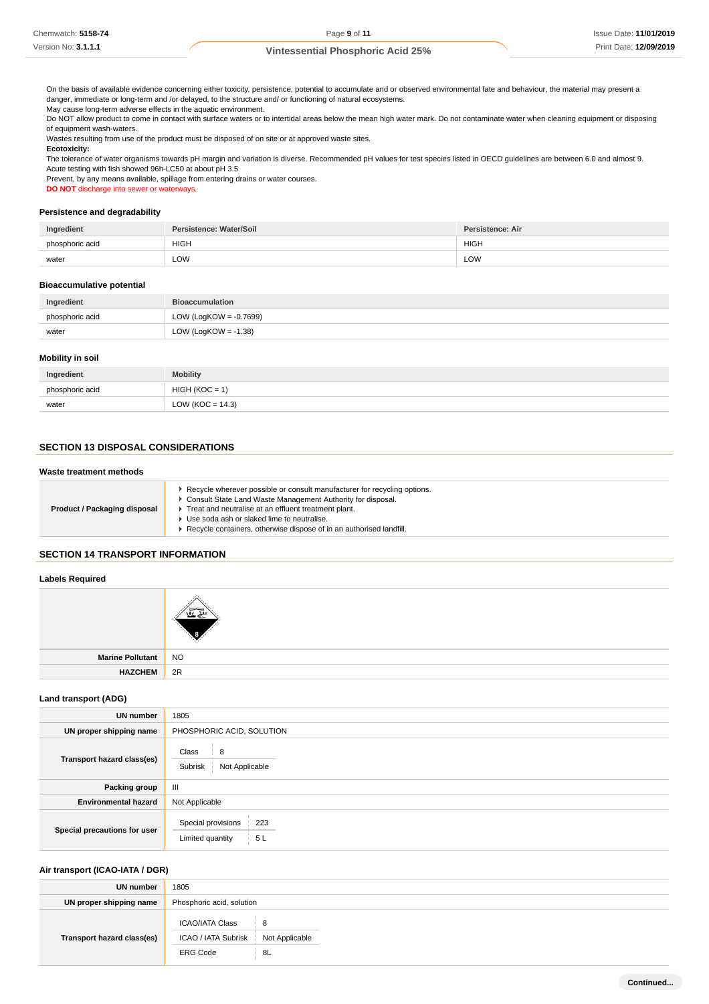On the basis of available evidence concerning either toxicity, persistence, potential to accumulate and or observed environmental fate and behaviour, the material may present a danger, immediate or long-term and /or delayed, to the structure and/ or functioning of natural ecosystems.

May cause long-term adverse effects in the aquatic environment.

Do NOT allow product to come in contact with surface waters or to intertidal areas below the mean high water mark. Do not contaminate water when cleaning equipment or disposing of equipment wash-waters.

Wastes resulting from use of the product must be disposed of on site or at approved waste sites.

**Ecotoxicity:**

The tolerance of water organisms towards pH margin and variation is diverse. Recommended pH values for test species listed in OECD guidelines are between 6.0 and almost 9. Acute testing with fish showed 96h-LC50 at about pH 3.5

Prevent, by any means available, spillage from entering drains or water courses.

**DO NOT** discharge into sewer or waterways.

#### **Persistence and degradability**

| Ingredient      | Persistence: Water/Soil | <b>Persistence: Air</b> |
|-----------------|-------------------------|-------------------------|
| phosphoric acid | <b>HIGH</b>             | <b>HIGH</b>             |
| water           | LOW<br>____             | LOW                     |

#### **Bioaccumulative potential**

| Ingredient      | <b>Bioaccumulation</b>  |
|-----------------|-------------------------|
| phosphoric acid | LOW (LogKOW = -0.7699)  |
| water           | LOW (LogKOW = $-1.38$ ) |

## **Mobility in soil**

| Ingredient      | <b>Mobility</b>     |
|-----------------|---------------------|
| phosphoric acid | $HIGH (KOC = 1)$    |
| water           | LOW (KOC = $14.3$ ) |

## **SECTION 13 DISPOSAL CONSIDERATIONS**

#### **Waste treatment methods**

| Product / Packaging disposal | Recycle wherever possible or consult manufacturer for recycling options.<br>Consult State Land Waste Management Authority for disposal.<br>Treat and neutralise at an effluent treatment plant.<br>Use soda ash or slaked lime to neutralise.<br>Recycle containers, otherwise dispose of in an authorised landfill. |
|------------------------------|----------------------------------------------------------------------------------------------------------------------------------------------------------------------------------------------------------------------------------------------------------------------------------------------------------------------|
|------------------------------|----------------------------------------------------------------------------------------------------------------------------------------------------------------------------------------------------------------------------------------------------------------------------------------------------------------------|

## **SECTION 14 TRANSPORT INFORMATION**

## **Labels Required**

| Marine Pollutant   NO |    |
|-----------------------|----|
| <b>HAZCHEM</b>        | 2R |
|                       |    |

#### **Land transport (ADG)**

| <b>UN number</b>             | 1805                                                |  |  |
|------------------------------|-----------------------------------------------------|--|--|
| UN proper shipping name      | PHOSPHORIC ACID, SOLUTION                           |  |  |
| Transport hazard class(es)   | Class<br>8<br>Subrisk<br>Not Applicable             |  |  |
| Packing group                | III                                                 |  |  |
| <b>Environmental hazard</b>  | Not Applicable                                      |  |  |
| Special precautions for user | Special provisions<br>223<br>5L<br>Limited quantity |  |  |

#### **Air transport (ICAO-IATA / DGR)**

| UN number                  | 1805                                                                   |  |  |
|----------------------------|------------------------------------------------------------------------|--|--|
| UN proper shipping name    | Phosphoric acid, solution                                              |  |  |
| Transport hazard class(es) | <b>ICAO/IATA Class</b><br>- 8<br>ICAO / IATA Subrisk<br>Not Applicable |  |  |
|                            | <b>ERG Code</b><br>8L                                                  |  |  |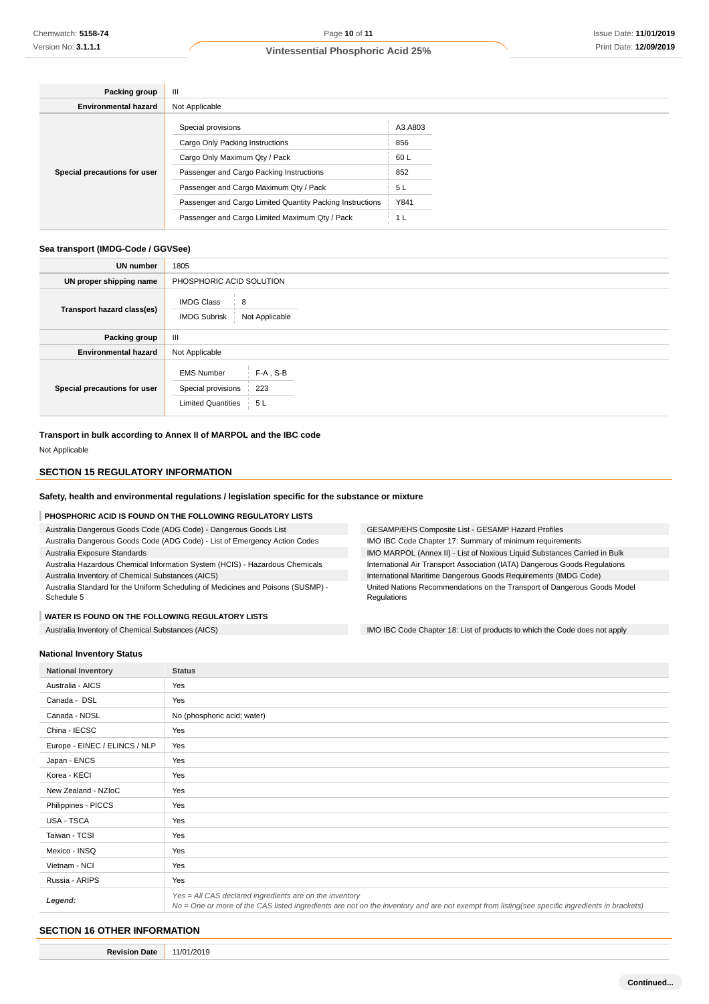| Packing group                | Ш                                                         |         |  |  |  |
|------------------------------|-----------------------------------------------------------|---------|--|--|--|
| <b>Environmental hazard</b>  | Not Applicable                                            |         |  |  |  |
| Special precautions for user | Special provisions                                        | A3 A803 |  |  |  |
|                              | Cargo Only Packing Instructions                           | 856     |  |  |  |
|                              | Cargo Only Maximum Qty / Pack                             | 60 L    |  |  |  |
|                              | Passenger and Cargo Packing Instructions                  | 852     |  |  |  |
|                              | Passenger and Cargo Maximum Qty / Pack                    | 5L      |  |  |  |
|                              | Passenger and Cargo Limited Quantity Packing Instructions | Y841    |  |  |  |
|                              | Passenger and Cargo Limited Maximum Qty / Pack            |         |  |  |  |

#### **Sea transport (IMDG-Code / GGVSee)**

| <b>UN number</b>             | 1805                                                                                             |  |  |  |  |
|------------------------------|--------------------------------------------------------------------------------------------------|--|--|--|--|
| UN proper shipping name      | PHOSPHORIC ACID SOLUTION                                                                         |  |  |  |  |
| Transport hazard class(es)   | <b>IMDG Class</b><br>8<br><b>IMDG Subrisk</b><br>Not Applicable                                  |  |  |  |  |
| Packing group                | $\mathbf{III}$                                                                                   |  |  |  |  |
| <b>Environmental hazard</b>  | Not Applicable                                                                                   |  |  |  |  |
| Special precautions for user | $F-A$ , S-B<br><b>EMS Number</b><br>223<br>Special provisions<br><b>Limited Quantities</b><br>5L |  |  |  |  |

#### **Transport in bulk according to Annex II of MARPOL and the IBC code**

Not Applicable

## **SECTION 15 REGULATORY INFORMATION**

## **Safety, health and environmental regulations / legislation specific for the substance or mixture**

#### **PHOSPHORIC ACID IS FOUND ON THE FOLLOWING REGULATORY LISTS**

- Australia Dangerous Goods Code (ADG Code) Dangerous Goods List
- Australia Dangerous Goods Code (ADG Code) List of Emergency Action Codes Australia Exposure Standards
- Australia Hazardous Chemical Information System (HCIS) Hazardous Chemicals Australia Inventory of Chemical Substances (AICS)
- Australia Standard for the Uniform Scheduling of Medicines and Poisons (SUSMP) Schedule 5

#### **WATER IS FOUND ON THE FOLLOWING REGULATORY LISTS**

GESAMP/EHS Composite List - GESAMP Hazard Profiles IMO IBC Code Chapter 17: Summary of minimum requirements IMO MARPOL (Annex II) - List of Noxious Liquid Substances Carried in Bulk International Air Transport Association (IATA) Dangerous Goods Regulations International Maritime Dangerous Goods Requirements (IMDG Code) United Nations Recommendations on the Transport of Dangerous Goods Model **Regulations** 

Australia Inventory of Chemical Substances (AICS) **IMO IBC Code Chapter 18:** List of products to which the Code does not apply

#### **National Inventory Status**

| <b>National Inventory</b>     | <b>Status</b>                                                                                                                                                                                            |  |
|-------------------------------|----------------------------------------------------------------------------------------------------------------------------------------------------------------------------------------------------------|--|
| Australia - AICS              | Yes                                                                                                                                                                                                      |  |
| Canada - DSL                  | Yes                                                                                                                                                                                                      |  |
| Canada - NDSL                 | No (phosphoric acid; water)                                                                                                                                                                              |  |
| China - IECSC                 | Yes                                                                                                                                                                                                      |  |
| Europe - EINEC / ELINCS / NLP | Yes                                                                                                                                                                                                      |  |
| Japan - ENCS                  | Yes                                                                                                                                                                                                      |  |
| Korea - KECI                  | Yes                                                                                                                                                                                                      |  |
| New Zealand - NZIoC           | Yes                                                                                                                                                                                                      |  |
| Philippines - PICCS           | Yes                                                                                                                                                                                                      |  |
| USA - TSCA                    | Yes                                                                                                                                                                                                      |  |
| Taiwan - TCSI                 | Yes                                                                                                                                                                                                      |  |
| Mexico - INSQ                 | Yes                                                                                                                                                                                                      |  |
| Vietnam - NCI                 | Yes                                                                                                                                                                                                      |  |
| Russia - ARIPS                | Yes                                                                                                                                                                                                      |  |
| Legend:                       | Yes = All CAS declared ingredients are on the inventory<br>No = One or more of the CAS listed ingredients are not on the inventory and are not exempt from listing(see specific ingredients in brackets) |  |

## **SECTION 16 OTHER INFORMATION**

**Revision Date** 11/01/2019